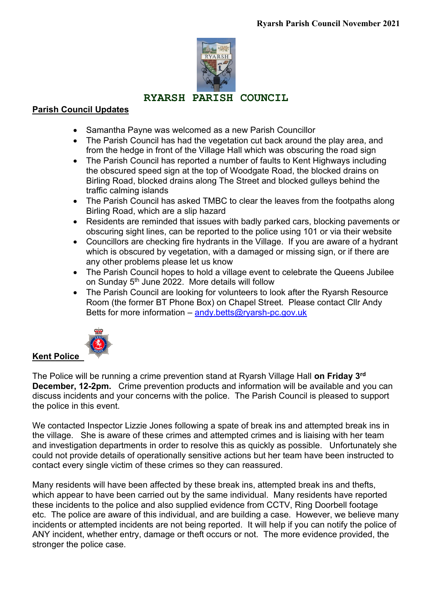

# **RYARSH PARISH COUNCIL**

## **Parish Council Updates**

- Samantha Payne was welcomed as a new Parish Councillor
- The Parish Council has had the vegetation cut back around the play area, and from the hedge in front of the Village Hall which was obscuring the road sign
- The Parish Council has reported a number of faults to Kent Highways including the obscured speed sign at the top of Woodgate Road, the blocked drains on Birling Road, blocked drains along The Street and blocked gulleys behind the traffic calming islands
- The Parish Council has asked TMBC to clear the leaves from the footpaths along Birling Road, which are a slip hazard
- Residents are reminded that issues with badly parked cars, blocking pavements or obscuring sight lines, can be reported to the police using 101 or via their website
- Councillors are checking fire hydrants in the Village. If you are aware of a hydrant which is obscured by vegetation, with a damaged or missing sign, or if there are any other problems please let us know
- The Parish Council hopes to hold a village event to celebrate the Queens Jubilee on Sunday 5<sup>th</sup> June 2022. More details will follow
- The Parish Council are looking for volunteers to look after the Ryarsh Resource Room (the former BT Phone Box) on Chapel Street. Please contact Cllr Andy Betts for more information – [andy.betts@ryarsh-pc.gov.uk](mailto:andy.betts@ryarsh-pc.gov.uk)



The Police will be running a crime prevention stand at Ryarsh Village Hall **on Friday 3rd December, 12-2pm.** Crime prevention products and information will be available and you can discuss incidents and your concerns with the police. The Parish Council is pleased to support the police in this event.

We contacted Inspector Lizzie Jones following a spate of break ins and attempted break ins in the village. She is aware of these crimes and attempted crimes and is liaising with her team and investigation departments in order to resolve this as quickly as possible. Unfortunately she could not provide details of operationally sensitive actions but her team have been instructed to contact every single victim of these crimes so they can reassured.

Many residents will have been affected by these break ins, attempted break ins and thefts, which appear to have been carried out by the same individual. Many residents have reported these incidents to the police and also supplied evidence from CCTV, Ring Doorbell footage etc. The police are aware of this individual, and are building a case. However, we believe many incidents or attempted incidents are not being reported. It will help if you can notify the police of ANY incident, whether entry, damage or theft occurs or not. The more evidence provided, the stronger the police case.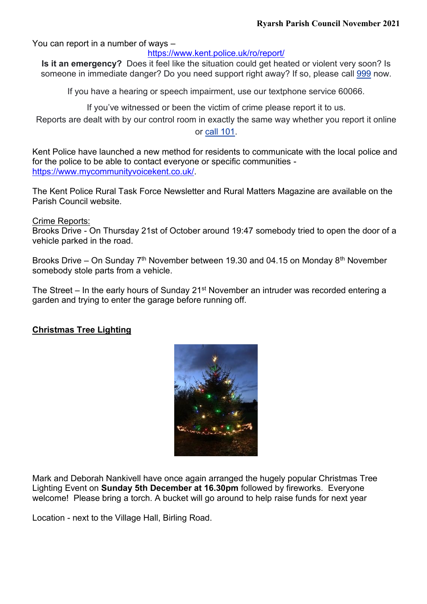You can report in a number of ways –

<https://www.kent.police.uk/ro/report/>

**Is it an emergency?** Does it feel like the situation could get heated or violent very soon? Is someone in immediate danger? Do you need support right away? If so, please call [999](tel:999) now.

If you have a hearing or speech impairment, use our textphone service 60066.

If you've witnessed or been the victim of crime please report it to us.

Reports are dealt with by our control room in exactly the same way whether you report it online or call [101.](tel:101)

Kent Police have launched a new method for residents to communicate with the local police and for the police to be able to contact everyone or specific communities [https://www.mycommunityvoicekent.co.uk/.](https://www.mycommunityvoicekent.co.uk/)

The Kent Police Rural Task Force Newsletter and Rural Matters Magazine are available on the Parish Council website.

Crime Reports:

Brooks Drive - On Thursday 21st of October around 19:47 somebody tried to open the door of a vehicle parked in the road.

Brooks Drive – On Sunday  $7<sup>th</sup>$  November between 19.30 and 04.15 on Monday 8<sup>th</sup> November somebody stole parts from a vehicle.

The Street – In the early hours of Sunday 21<sup>st</sup> November an intruder was recorded entering a garden and trying to enter the garage before running off.

#### **Christmas Tree Lighting**



Mark and Deborah Nankivell have once again arranged the hugely popular Christmas Tree Lighting Event on **Sunday 5th December at 16.30pm** followed by fireworks. Everyone welcome! Please bring a torch. A bucket will go around to help raise funds for next year

Location - next to the Village Hall, Birling Road.